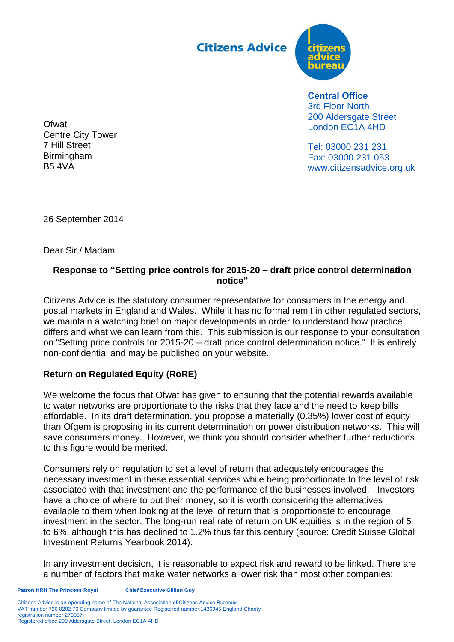**Citizens Advice** 



**Central Office** 3rd Floor North 200 Aldersgate Street London EC1A 4HD

Tel: 03000 231 231 Fax: 03000 231 053 www.citizensadvice.org.uk

**Ofwat** Centre City Tower 7 Hill Street Birmingham B5 4VA

26 September 2014

Dear Sir / Madam

## **Response to "Setting price controls for 2015-20 – draft price control determination notice"**

Citizens Advice is the statutory consumer representative for consumers in the energy and postal markets in England and Wales. While it has no formal remit in other regulated sectors, we maintain a watching brief on major developments in order to understand how practice differs and what we can learn from this. This submission is our response to your consultation on "Setting price controls for 2015-20 – draft price control determination notice." It is entirely non-confidential and may be published on your website.

## **Return on Regulated Equity (RoRE)**

We welcome the focus that Ofwat has given to ensuring that the potential rewards available to water networks are proportionate to the risks that they face and the need to keep bills affordable. In its draft determination, you propose a materially (0.35%) lower cost of equity than Ofgem is proposing in its current determination on power distribution networks. This will save consumers money. However, we think you should consider whether further reductions to this figure would be merited.

Consumers rely on regulation to set a level of return that adequately encourages the necessary investment in these essential services while being proportionate to the level of risk associated with that investment and the performance of the businesses involved. Investors have a choice of where to put their money, so it is worth considering the alternatives available to them when looking at the level of return that is proportionate to encourage investment in the sector. The long-run real rate of return on UK equities is in the region of 5 to 6%, although this has declined to 1.2% thus far this century (source: Credit Suisse Global Investment Returns Yearbook 2014).

In any investment decision, it is reasonable to expect risk and reward to be linked. There are a number of factors that make water networks a lower risk than most other companies: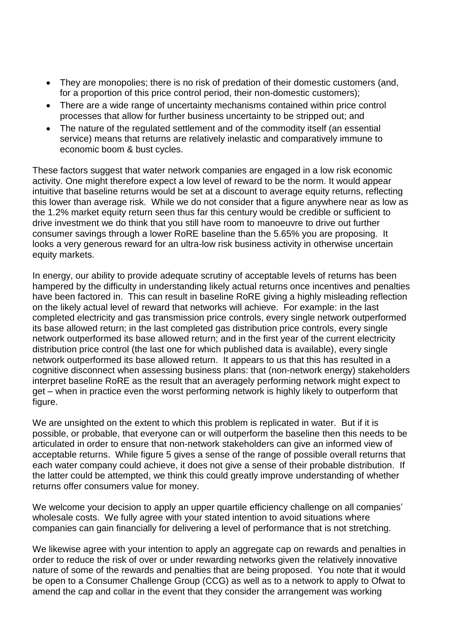- They are monopolies; there is no risk of predation of their domestic customers (and, for a proportion of this price control period, their non-domestic customers);
- There are a wide range of uncertainty mechanisms contained within price control processes that allow for further business uncertainty to be stripped out; and
- The nature of the regulated settlement and of the commodity itself (an essential service) means that returns are relatively inelastic and comparatively immune to economic boom & bust cycles.

These factors suggest that water network companies are engaged in a low risk economic activity. One might therefore expect a low level of reward to be the norm. It would appear intuitive that baseline returns would be set at a discount to average equity returns, reflecting this lower than average risk. While we do not consider that a figure anywhere near as low as the 1.2% market equity return seen thus far this century would be credible or sufficient to drive investment we do think that you still have room to manoeuvre to drive out further consumer savings through a lower RoRE baseline than the 5.65% you are proposing. It looks a very generous reward for an ultra-low risk business activity in otherwise uncertain equity markets.

In energy, our ability to provide adequate scrutiny of acceptable levels of returns has been hampered by the difficulty in understanding likely actual returns once incentives and penalties have been factored in. This can result in baseline RoRE giving a highly misleading reflection on the likely actual level of reward that networks will achieve. For example: in the last completed electricity and gas transmission price controls, every single network outperformed its base allowed return; in the last completed gas distribution price controls, every single network outperformed its base allowed return; and in the first year of the current electricity distribution price control (the last one for which published data is available), every single network outperformed its base allowed return. It appears to us that this has resulted in a cognitive disconnect when assessing business plans: that (non-network energy) stakeholders interpret baseline RoRE as the result that an averagely performing network might expect to get – when in practice even the worst performing network is highly likely to outperform that figure.

We are unsighted on the extent to which this problem is replicated in water. But if it is possible, or probable, that everyone can or will outperform the baseline then this needs to be articulated in order to ensure that non-network stakeholders can give an informed view of acceptable returns. While figure 5 gives a sense of the range of possible overall returns that each water company could achieve, it does not give a sense of their probable distribution. If the latter could be attempted, we think this could greatly improve understanding of whether returns offer consumers value for money.

We welcome your decision to apply an upper quartile efficiency challenge on all companies' wholesale costs. We fully agree with your stated intention to avoid situations where companies can gain financially for delivering a level of performance that is not stretching.

We likewise agree with your intention to apply an aggregate cap on rewards and penalties in order to reduce the risk of over or under rewarding networks given the relatively innovative nature of some of the rewards and penalties that are being proposed. You note that it would be open to a Consumer Challenge Group (CCG) as well as to a network to apply to Ofwat to amend the cap and collar in the event that they consider the arrangement was working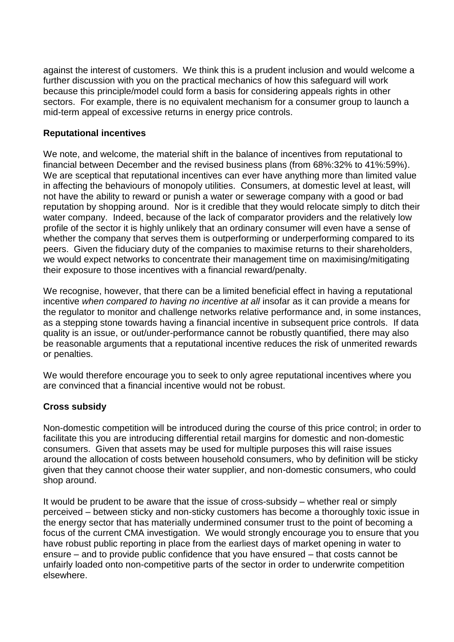against the interest of customers. We think this is a prudent inclusion and would welcome a further discussion with you on the practical mechanics of how this safeguard will work because this principle/model could form a basis for considering appeals rights in other sectors. For example, there is no equivalent mechanism for a consumer group to launch a mid-term appeal of excessive returns in energy price controls.

## **Reputational incentives**

We note, and welcome, the material shift in the balance of incentives from reputational to financial between December and the revised business plans (from 68%:32% to 41%:59%). We are sceptical that reputational incentives can ever have anything more than limited value in affecting the behaviours of monopoly utilities. Consumers, at domestic level at least, will not have the ability to reward or punish a water or sewerage company with a good or bad reputation by shopping around. Nor is it credible that they would relocate simply to ditch their water company. Indeed, because of the lack of comparator providers and the relatively low profile of the sector it is highly unlikely that an ordinary consumer will even have a sense of whether the company that serves them is outperforming or underperforming compared to its peers. Given the fiduciary duty of the companies to maximise returns to their shareholders, we would expect networks to concentrate their management time on maximising/mitigating their exposure to those incentives with a financial reward/penalty.

We recognise, however, that there can be a limited beneficial effect in having a reputational incentive *when compared to having no incentive at all* insofar as it can provide a means for the regulator to monitor and challenge networks relative performance and, in some instances, as a stepping stone towards having a financial incentive in subsequent price controls. If data quality is an issue, or out/under-performance cannot be robustly quantified, there may also be reasonable arguments that a reputational incentive reduces the risk of unmerited rewards or penalties.

We would therefore encourage you to seek to only agree reputational incentives where you are convinced that a financial incentive would not be robust.

#### **Cross subsidy**

Non-domestic competition will be introduced during the course of this price control; in order to facilitate this you are introducing differential retail margins for domestic and non-domestic consumers. Given that assets may be used for multiple purposes this will raise issues around the allocation of costs between household consumers, who by definition will be sticky given that they cannot choose their water supplier, and non-domestic consumers, who could shop around.

It would be prudent to be aware that the issue of cross-subsidy – whether real or simply perceived – between sticky and non-sticky customers has become a thoroughly toxic issue in the energy sector that has materially undermined consumer trust to the point of becoming a focus of the current CMA investigation. We would strongly encourage you to ensure that you have robust public reporting in place from the earliest days of market opening in water to ensure – and to provide public confidence that you have ensured – that costs cannot be unfairly loaded onto non-competitive parts of the sector in order to underwrite competition elsewhere.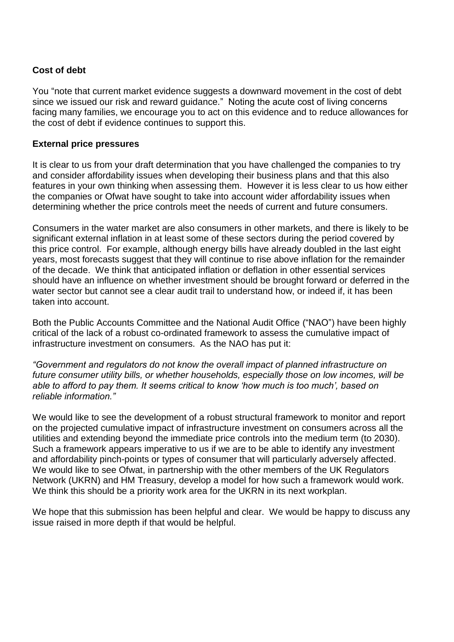## **Cost of debt**

You "note that current market evidence suggests a downward movement in the cost of debt since we issued our risk and reward guidance." Noting the acute cost of living concerns facing many families, we encourage you to act on this evidence and to reduce allowances for the cost of debt if evidence continues to support this.

#### **External price pressures**

It is clear to us from your draft determination that you have challenged the companies to try and consider affordability issues when developing their business plans and that this also features in your own thinking when assessing them. However it is less clear to us how either the companies or Ofwat have sought to take into account wider affordability issues when determining whether the price controls meet the needs of current and future consumers.

Consumers in the water market are also consumers in other markets, and there is likely to be significant external inflation in at least some of these sectors during the period covered by this price control. For example, although energy bills have already doubled in the last eight years, most forecasts suggest that they will continue to rise above inflation for the remainder of the decade. We think that anticipated inflation or deflation in other essential services should have an influence on whether investment should be brought forward or deferred in the water sector but cannot see a clear audit trail to understand how, or indeed if, it has been taken into account.

Both the Public Accounts Committee and the National Audit Office ("NAO") have been highly critical of the lack of a robust co-ordinated framework to assess the cumulative impact of infrastructure investment on consumers. As the NAO has put it:

*"Government and regulators do not know the overall impact of planned infrastructure on future consumer utility bills, or whether households, especially those on low incomes, will be able to afford to pay them. It seems critical to know 'how much is too much', based on reliable information."*

We would like to see the development of a robust structural framework to monitor and report on the projected cumulative impact of infrastructure investment on consumers across all the utilities and extending beyond the immediate price controls into the medium term (to 2030). Such a framework appears imperative to us if we are to be able to identify any investment and affordability pinch-points or types of consumer that will particularly adversely affected. We would like to see Ofwat, in partnership with the other members of the UK Regulators Network (UKRN) and HM Treasury, develop a model for how such a framework would work. We think this should be a priority work area for the UKRN in its next workplan.

We hope that this submission has been helpful and clear. We would be happy to discuss any issue raised in more depth if that would be helpful.